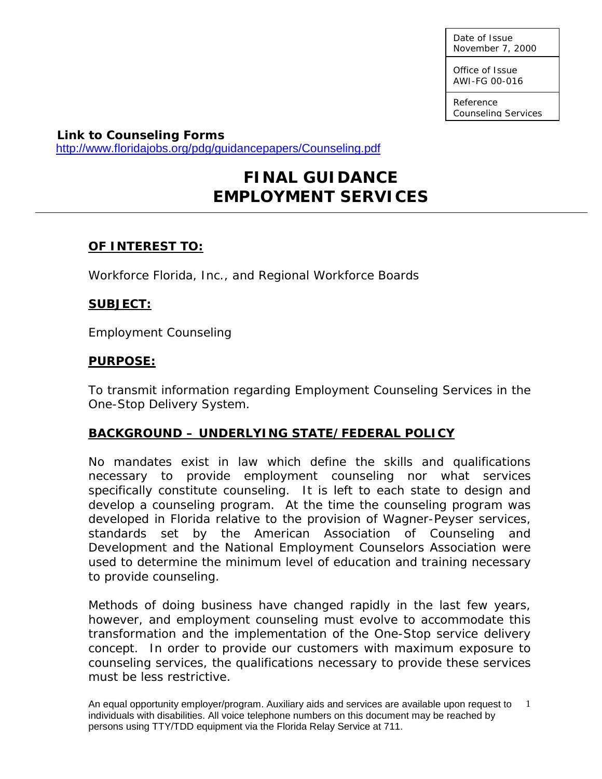Date of Issue November 7, 2000

Office of Issue AWI-FG 00-016

Reference Counseling Services

**Link to Counseling Forms**  <http://www.floridajobs.org/pdg/guidancepapers/Counseling.pdf>

# **FINAL GUIDANCE EMPLOYMENT SERVICES**

# **OF INTEREST TO:**

Workforce Florida, Inc., and Regional Workforce Boards

# **SUBJECT:**

Employment Counseling

# **PURPOSE:**

To transmit information regarding Employment Counseling Services in the One-Stop Delivery System.

# **BACKGROUND – UNDERLYING STATE/FEDERAL POLICY**

No mandates exist in law which define the skills and qualifications necessary to provide employment counseling nor what services specifically constitute counseling. It is left to each state to design and develop a counseling program. At the time the counseling program was developed in Florida relative to the provision of Wagner-Peyser services, standards set by the American Association of Counseling and Development and the National Employment Counselors Association were used to determine the minimum level of education and training necessary to provide counseling.

Methods of doing business have changed rapidly in the last few years, however, and employment counseling must evolve to accommodate this transformation and the implementation of the One-Stop service delivery concept. In order to provide our customers with maximum exposure to counseling services, the qualifications necessary to provide these services must be less restrictive.

An equal opportunity employer/program. Auxiliary aids and services are available upon request to 1 individuals with disabilities. All voice telephone numbers on this document may be reached by persons using TTY/TDD equipment via the Florida Relay Service at 711.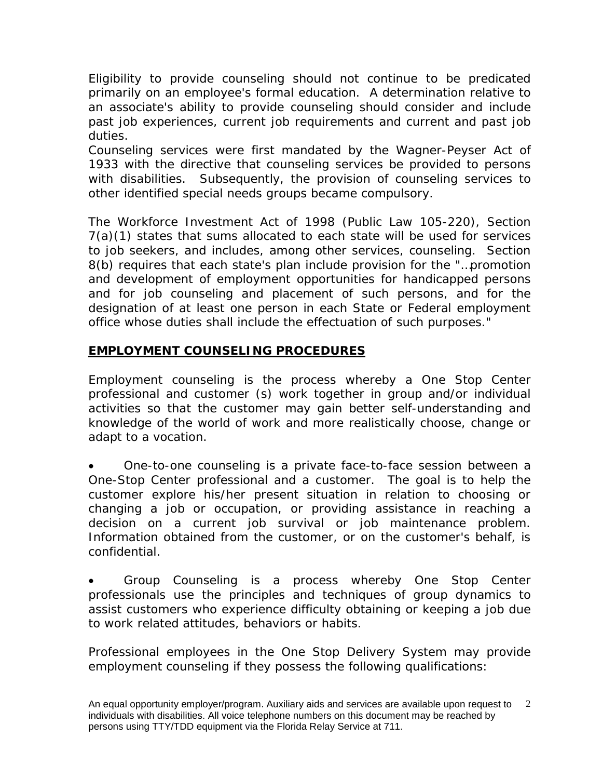Eligibility to provide counseling should not continue to be predicated primarily on an employee's formal education. A determination relative to an associate's ability to provide counseling should consider and include past job experiences, current job requirements and current and past job duties.

Counseling services were first mandated by the Wagner-Peyser Act of 1933 with the directive that counseling services be provided to persons with disabilities. Subsequently, the provision of counseling services to other identified special needs groups became compulsory.

The Workforce Investment Act of 1998 (Public Law 105-220), Section 7(a)(1) states that sums allocated to each state will be used for services to job seekers, and includes, among other services, counseling. Section 8(b) requires that each state's plan include provision for the "…promotion and development of employment opportunities for handicapped persons and for job counseling and placement of such persons, and for the designation of at least one person in each State or Federal employment office whose duties shall include the effectuation of such purposes."

# **EMPLOYMENT COUNSELING PROCEDURES**

Employment counseling is the process whereby a One Stop Center professional and customer (s) work together in group and/or individual activities so that the customer may gain better self-understanding and knowledge of the world of work and more realistically choose, change or adapt to a vocation.

• One-to-one counseling is a private face-to-face session between a One-Stop Center professional and a customer. The goal is to help the customer explore his/her present situation in relation to choosing or changing a job or occupation, or providing assistance in reaching a decision on a current job survival or job maintenance problem. Information obtained from the customer, or on the customer's behalf, is confidential.

• Group Counseling is a process whereby One Stop Center professionals use the principles and techniques of group dynamics to assist customers who experience difficulty obtaining or keeping a job due to work related attitudes, behaviors or habits.

Professional employees in the One Stop Delivery System may provide employment counseling if they possess the following qualifications: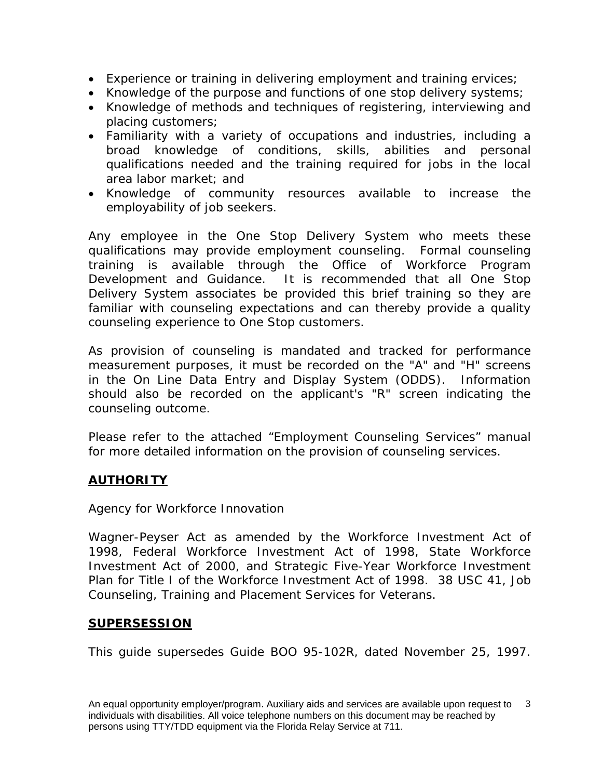- Experience or training in delivering employment and training ervices;
- Knowledge of the purpose and functions of one stop delivery systems;
- Knowledge of methods and techniques of registering, interviewing and placing customers;
- Familiarity with a variety of occupations and industries, including a broad knowledge of conditions, skills, abilities and personal qualifications needed and the training required for jobs in the local area labor market; and
- Knowledge of community resources available to increase the employability of job seekers.

Any employee in the One Stop Delivery System who meets these qualifications may provide employment counseling. Formal counseling training is available through the Office of Workforce Program Development and Guidance. It is recommended that all One Stop Delivery System associates be provided this brief training so they are familiar with counseling expectations and can thereby provide a quality counseling experience to One Stop customers.

As provision of counseling is mandated and tracked for performance measurement purposes, it must be recorded on the "A" and "H" screens in the On Line Data Entry and Display System (ODDS). Information should also be recorded on the applicant's "R" screen indicating the counseling outcome.

Please refer to the attached "Employment Counseling Services" manual for more detailed information on the provision of counseling services.

# **AUTHORITY**

## Agency for Workforce Innovation

Wagner-Peyser Act as amended by the Workforce Investment Act of 1998, Federal Workforce Investment Act of 1998, State Workforce Investment Act of 2000, and Strategic Five-Year Workforce Investment Plan for Title I of the Workforce Investment Act of 1998. 38 USC 41, Job Counseling, Training and Placement Services for Veterans.

## **SUPERSESSION**

This guide supersedes Guide BOO 95-102R, dated November 25, 1997.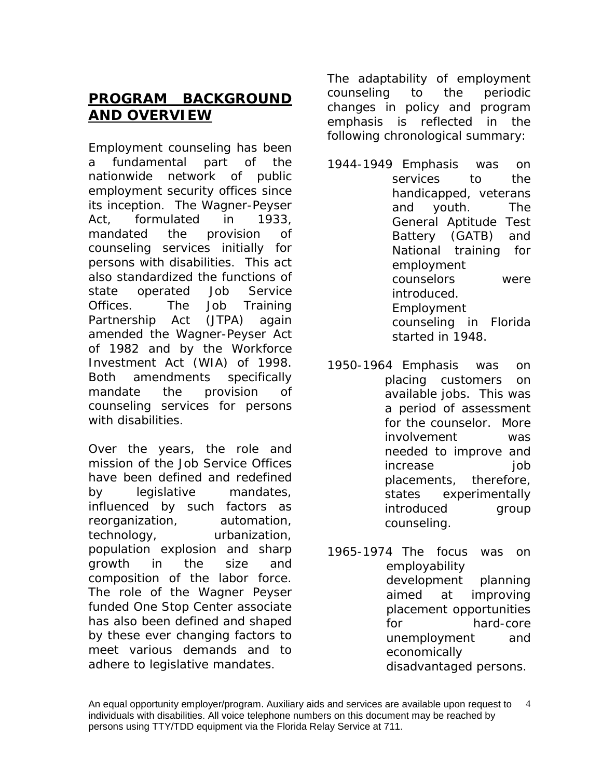# **PROGRAM BACKGROUND AND OVERVIEW**

Employment counseling has been a fundamental part of the nationwide network of public employment security offices since its inception. The Wagner-Peyser Act, formulated in 1933, mandated the provision of counseling services initially for persons with disabilities. This act also standardized the functions of state operated Job Service Offices. The Job Training Partnership Act (JTPA) again amended the Wagner-Peyser Act of 1982 and by the Workforce Investment Act (WIA) of 1998. Both amendments specifically mandate the provision of counseling services for persons with disabilities.

Over the years, the role and mission of the Job Service Offices have been defined and redefined by legislative mandates, influenced by such factors as reorganization, automation, technology, urbanization, population explosion and sharp growth in the size and composition of the labor force. The role of the Wagner Peyser funded One Stop Center associate has also been defined and shaped by these ever changing factors to meet various demands and to adhere to legislative mandates.

The adaptability of employment counseling to the periodic changes in policy and program emphasis is reflected in the following chronological summary:

- 1944-1949 Emphasis was on services to the handicapped, veterans and youth. The General Aptitude Test Battery (GATB) and National training for employment counselors were introduced. Employment counseling in Florida started in 1948.
- 1950-1964 Emphasis was on placing customers on available jobs. This was a period of assessment for the counselor. More involvement was needed to improve and increase job placements, therefore, states experimentally introduced group counseling.
- 1965-1974 The focus was on employability development planning aimed at improving placement opportunities for hard-core unemployment and economically disadvantaged persons.

An equal opportunity employer/program. Auxiliary aids and services are available upon request to individuals with disabilities. All voice telephone numbers on this document may be reached by persons using TTY/TDD equipment via the Florida Relay Service at 711. 4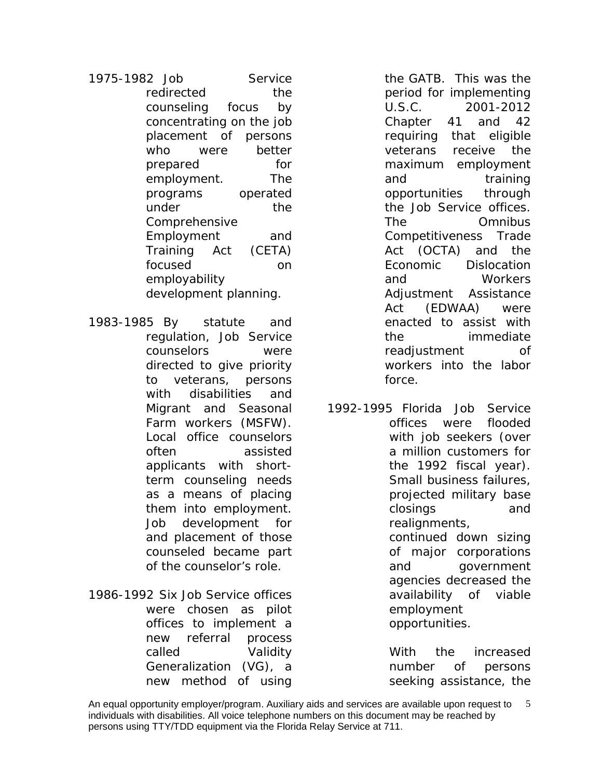1975-1982 Job Service redirected the counseling focus by concentrating on the job placement of persons who were better prepared for employment. The programs operated under the Comprehensive Employment and Training Act (CETA) focused on employability development planning.

1983-1985 By statute and regulation, Job Service counselors were directed to give priority to veterans, persons with disabilities and Migrant and Seasonal Farm workers (MSFW). Local office counselors often assisted applicants with shortterm counseling needs as a means of placing them into employment. Job development for and placement of those counseled became part of the counselor's role.

1986-1992 Six Job Service offices were chosen as pilot offices to implement a new referral process called Validity Generalization (VG), a new method of using

the GATB. This was the period for implementing U.S.C. 2001-2012 Chapter 41 and 42 requiring that eligible veterans receive the maximum employment and training opportunities through the Job Service offices. The Omnibus Competitiveness Trade Act (OCTA) and the Economic Dislocation and Workers Adjustment Assistance Act (EDWAA) were enacted to assist with the immediate readjustment of workers into the labor force.

1992-1995 Florida Job Service offices were flooded with job seekers (over a million customers for the 1992 fiscal year). Small business failures, projected military base closings and realignments, continued down sizing

of major corporations and government agencies decreased the availability of viable employment opportunities.

With the increased number of persons seeking assistance, the

An equal opportunity employer/program. Auxiliary aids and services are available upon request to 5 individuals with disabilities. All voice telephone numbers on this document may be reached by persons using TTY/TDD equipment via the Florida Relay Service at 711.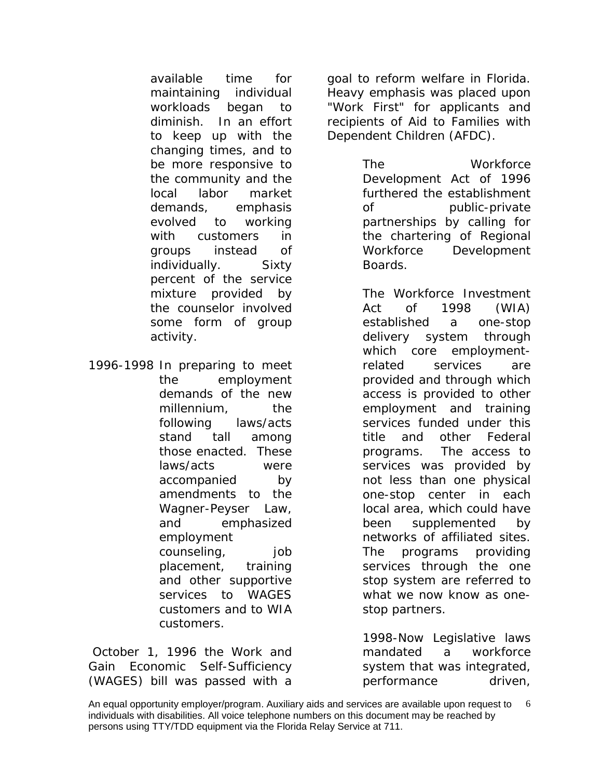available time for maintaining individual workloads began to diminish. In an effort to keep up with the changing times, and to be more responsive to the community and the local labor market demands, emphasis evolved to working with customers in groups instead of individually. Sixty percent of the service mixture provided by the counselor involved some form of group activity.

1996-1998 In preparing to meet the employment demands of the new millennium, the following laws/acts stand tall among those enacted. These laws/acts were accompanied by amendments to the Wagner-Peyser Law, and emphasized employment counseling, job placement, training and other supportive services to WAGES customers and to WIA customers.

*October 1, 1996 the Work and Gain Economic Self-Sufficiency (WAGES)* bill was passed with a

goal to reform welfare in Florida. Heavy emphasis was placed upon *"Work First"* for applicants and recipients of Aid to Families with Dependent Children (AFDC).

> *The Workforce Development Act of 1996* furthered the establishment of public-private partnerships by calling for the chartering of Regional Workforce Development Boards.

*The Workforce Investment Act of 1998 (WIA)*  established a one-stop delivery system through which core employmentrelated services are provided and through which access is provided to other employment and training services funded under this title and other Federal programs. The access to services was provided by not less than one physical one-stop center in each local area, which could have been supplemented by networks of affiliated sites. The programs providing services through the one stop system are referred to what we now know as onestop partners.

1998-Now Legislative laws mandated a workforce system that was integrated, performance driven,

An equal opportunity employer/program. Auxiliary aids and services are available upon request to 6 individuals with disabilities. All voice telephone numbers on this document may be reached by persons using TTY/TDD equipment via the Florida Relay Service at 711.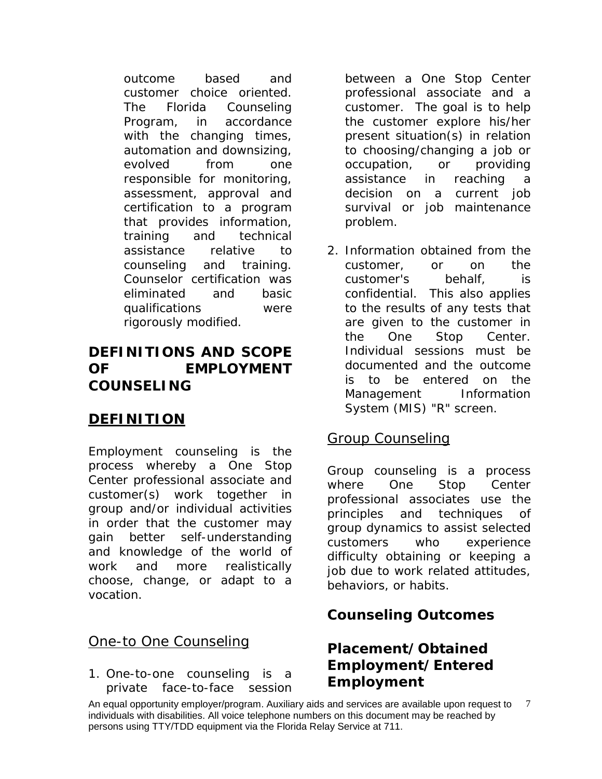outcome based and customer choice oriented. The Florida Counseling Program, in accordance with the changing times, automation and downsizing, evolved from one responsible for monitoring, assessment, approval and certification to a program that provides information, training and technical assistance relative to counseling and training. Counselor certification was eliminated and basic qualifications were rigorously modified.

# **DEFINITIONS AND SCOPE OF EMPLOYMENT COUNSELING**

# **DEFINITION**

Employment counseling is the process whereby a One Stop Center professional associate and customer(s) work together in group and/or individual activities in order that the customer may gain better self-understanding and knowledge of the world of work and more realistically choose, change, or adapt to a vocation.

# One-to One Counseling

1. One-to-one counseling is a private face-to-face session between a One Stop Center professional associate and a customer. The goal is to help the customer explore his/her present situation(s) in relation to choosing/changing a job or occupation, or providing assistance in reaching decision on a current job survival or job maintenance problem.

2. Information obtained from the customer, or on the customer's behalf, is confidential. This also applies to the results of any tests that are given to the customer in the One Stop Center. Individual sessions must be documented and the outcome is to be entered on the Management Information System (MIS) "R" screen.

# Group Counseling

Group counseling is a process where One Stop Center professional associates use the principles and techniques of group dynamics to assist selected customers who experience difficulty obtaining or keeping a job due to work related attitudes, behaviors, or habits.

# **Counseling Outcomes**

# **Placement/Obtained Employment/Entered Employment**

An equal opportunity employer/program. Auxiliary aids and services are available upon request to  $\quad$  7 individuals with disabilities. All voice telephone numbers on this document may be reached by persons using TTY/TDD equipment via the Florida Relay Service at 711.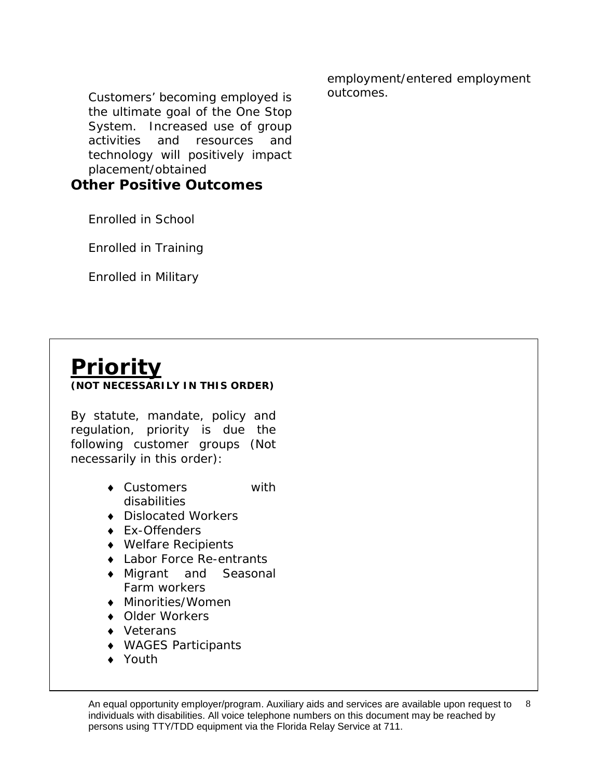Customers' becoming employed is the ultimate goal of the One Stop System. Increased use of group activities and resources and technology will positively impact placement/obtained

**Other Positive Outcomes**

Enrolled in School

Enrolled in Training

Enrolled in Military

employment/entered employment outcomes.

**Priority (NOT NECESSARILY IN THIS ORDER)**

By statute, mandate, policy and regulation, priority is due the following customer groups (Not necessarily in this order):

- ♦ Customers with disabilities
- ♦ Dislocated Workers
- ♦ Ex-Offenders
- ♦ Welfare Recipients
- ♦ Labor Force Re-entrants
- ♦ Migrant and Seasonal Farm workers
- ♦ Minorities/Women
- ♦ Older Workers
- ♦ Veterans
- ♦ WAGES Participants
- ♦ Youth

An equal opportunity employer/program. Auxiliary aids and services are available upon request to  $\quad$  8 individuals with disabilities. All voice telephone numbers on this document may be reached by persons using TTY/TDD equipment via the Florida Relay Service at 711.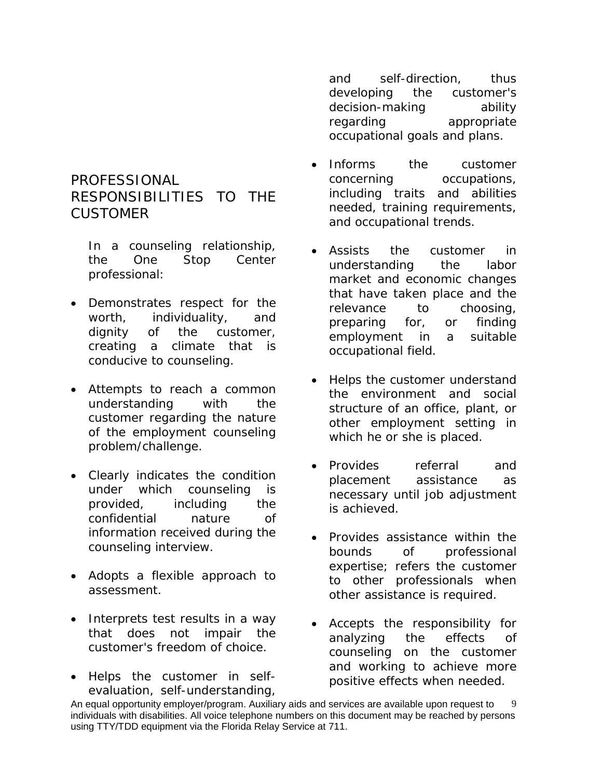# PROFESSIONAL RESPONSIBILITIES TO THE CUSTOMER

*In a counseling relationship, the One Stop Center professional:*

- Demonstrates respect for the worth, individuality, and dignity of the customer, creating a climate that is conducive to counseling.
- Attempts to reach a common understanding with the customer regarding the nature of the employment counseling problem/challenge.
- Clearly indicates the condition under which counseling is provided, including the confidential nature of information received during the counseling interview.
- Adopts a flexible approach to assessment.
- Interprets test results in a way that does not impair the customer's freedom of choice.
- Helps the customer in selfevaluation, self-understanding,

and self-direction, thus developing the customer's decision-making ability regarding appropriate occupational goals and plans.

- Informs the customer concerning occupations, including traits and abilities needed, training requirements, and occupational trends.
- Assists the customer in understanding the labor market and economic changes that have taken place and the relevance to choosing, preparing for, or finding employment in a suitable occupational field.
- Helps the customer understand the environment and social structure of an office, plant, or other employment setting in which he or she is placed.
- Provides referral and placement assistance as necessary until job adjustment is achieved.
- Provides assistance within the bounds of professional expertise; refers the customer to other professionals when other assistance is required.
- Accepts the responsibility for analyzing the effects of counseling on the customer and working to achieve more positive effects when needed.

An equal opportunity employer/program. Auxiliary aids and services are available upon request to individuals with disabilities. All voice telephone numbers on this document may be reached by persons using TTY/TDD equipment via the Florida Relay Service at 711. 9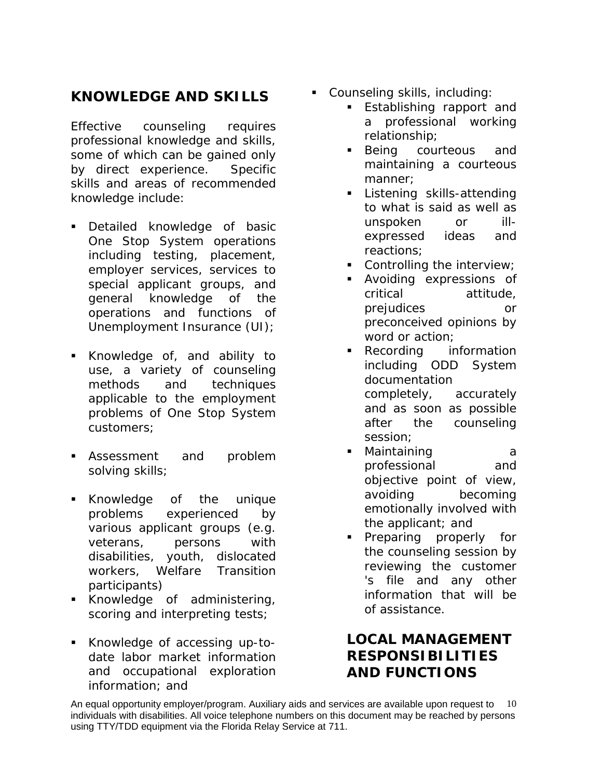# **KNOWLEDGE AND SKILLS**

Effective counseling requires professional knowledge and skills, some of which can be gained only by direct experience. Specific skills and areas of recommended knowledge include:

- Detailed knowledge of basic One Stop System operations including testing, placement, employer services, services to special applicant groups, and general knowledge of the operations and functions of Unemployment Insurance (UI);
- Knowledge of, and ability to use, a variety of counseling methods and techniques applicable to the employment problems of One Stop System customers;
- Assessment and problem solving skills;
- Knowledge of the unique problems experienced by various applicant groups (e.g. veterans, persons with disabilities, youth, dislocated workers, Welfare Transition participants)
- **Knowledge of administering,** scoring and interpreting tests;
- Knowledge of accessing up-todate labor market information and occupational exploration information; and
- Counseling skills, including:
	- **Establishing rapport and** a professional working relationship;
	- Being courteous and maintaining a courteous manner;
	- **Listening skills-attending** to what is said as well as unspoken or illexpressed ideas and reactions;
	- Controlling the interview;
	- Avoiding expressions of critical attitude, prejudices or preconceived opinions by word or action;
	- **Recording** information including ODD System documentation completely, accurately and as soon as possible after the counseling session;
	- Maintaining a professional and objective point of view, avoiding becoming emotionally involved with the applicant; and
	- **Preparing properly for** the counseling session by reviewing the customer 's file and any other information that will be of assistance.

# **LOCAL MANAGEMENT RESPONSIBILITIES AND FUNCTIONS**

An equal opportunity employer/program. Auxiliary aids and services are available upon request to  $\,$   $\,$   $\,10$ individuals with disabilities. All voice telephone numbers on this document may be reached by persons using TTY/TDD equipment via the Florida Relay Service at 711.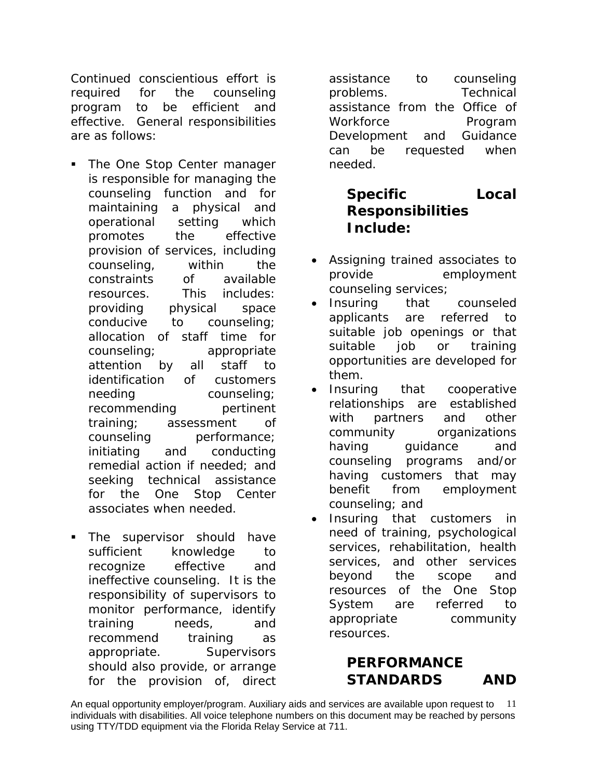Continued conscientious effort is required for the counseling program to be efficient and effective. General responsibilities are as follows:

- The One Stop Center manager is responsible for managing the counseling function and for maintaining a physical and operational setting which promotes the effective provision of services, including counseling, within the constraints of available resources. This includes: providing physical space conducive to counseling; allocation of staff time for counseling; appropriate attention by all staff to identification of customers needing counseling; recommending pertinent training; assessment of counseling performance; initiating and conducting remedial action if needed; and seeking technical assistance for the One Stop Center associates when needed.
- The supervisor should have sufficient knowledge to recognize effective and ineffective counseling. It is the responsibility of supervisors to monitor performance, identify training needs, and recommend training as appropriate. Supervisors should also provide, or arrange for the provision of, direct

assistance to counseling problems. Technical assistance from the Office of Workforce Program Development and Guidance can be requested when needed.

# **Specific Local Responsibilities Include:**

- Assigning trained associates to provide employment counseling services;
- Insuring that counseled applicants are referred to suitable job openings or that suitable job or training opportunities are developed for them.
- Insuring that cooperative relationships are established with partners and other community organizations having quidance and counseling programs and/or having customers that may benefit from employment counseling; and
- Insuring that customers in need of training, psychological services, rehabilitation, health services, and other services beyond the scope and resources of the One Stop System are referred to appropriate community resources.

# **PERFORMANCE STANDARDS AND**

An equal opportunity employer/program. Auxiliary aids and services are available upon request to 11 individuals with disabilities. All voice telephone numbers on this document may be reached by persons using TTY/TDD equipment via the Florida Relay Service at 711.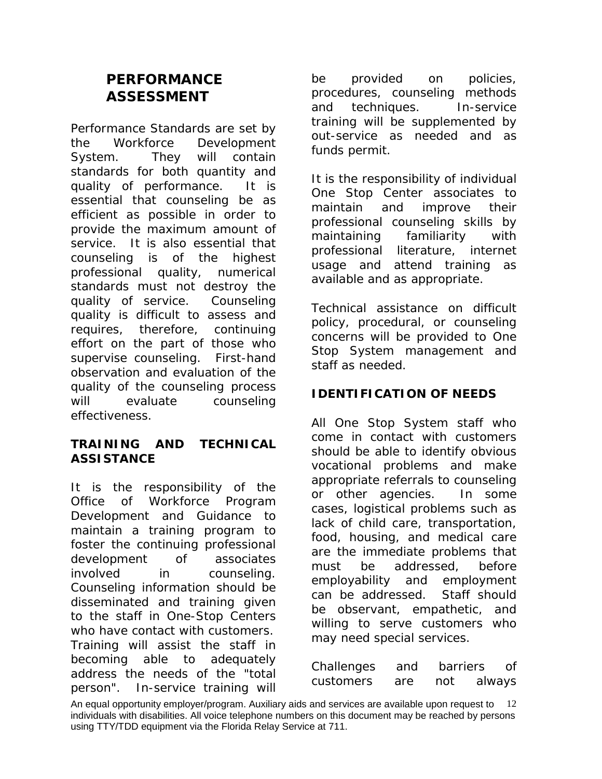# **PERFORMANCE ASSESSMENT**

Performance Standards are set by the Workforce Development System. They will contain standards for both quantity and quality of performance. It is essential that counseling be as efficient as possible in order to provide the maximum amount of service. It is also essential that counseling is of the highest professional quality, numerical standards must not destroy the quality of service. Counseling quality is difficult to assess and requires, therefore, continuing effort on the part of those who supervise counseling. First-hand observation and evaluation of the quality of the counseling process will evaluate counseling effectiveness.

# **TRAINING AND TECHNICAL ASSISTANCE**

It is the responsibility of the Office of Workforce Program Development and Guidance to maintain a training program to foster the continuing professional development of associates involved in counseling. Counseling information should be disseminated and training given to the staff in One-Stop Centers who have contact with customers. Training will assist the staff in becoming able to adequately address the needs of the "total person". In-service training will

be provided on policies, procedures, counseling methods and techniques. In-service training will be supplemented by out-service as needed and as funds permit.

It is the responsibility of individual One Stop Center associates to maintain and improve their professional counseling skills by maintaining familiarity with professional literature, internet usage and attend training as available and as appropriate.

Technical assistance on difficult policy, procedural, or counseling concerns will be provided to One Stop System management and staff as needed.

# **IDENTIFICATION OF NEEDS**

All One Stop System staff who come in contact with customers should be able to identify obvious vocational problems and make appropriate referrals to counseling or other agencies. In some cases, logistical problems such as lack of child care, transportation, food, housing, and medical care are the immediate problems that must be addressed, before employability and employment can be addressed. Staff should be observant, empathetic, and willing to serve customers who may need special services.

| Challenges | and | barriers | of     |
|------------|-----|----------|--------|
| customers  | are | not      | always |

An equal opportunity employer/program. Auxiliary aids and services are available upon request to 12 individuals with disabilities. All voice telephone numbers on this document may be reached by persons using TTY/TDD equipment via the Florida Relay Service at 711.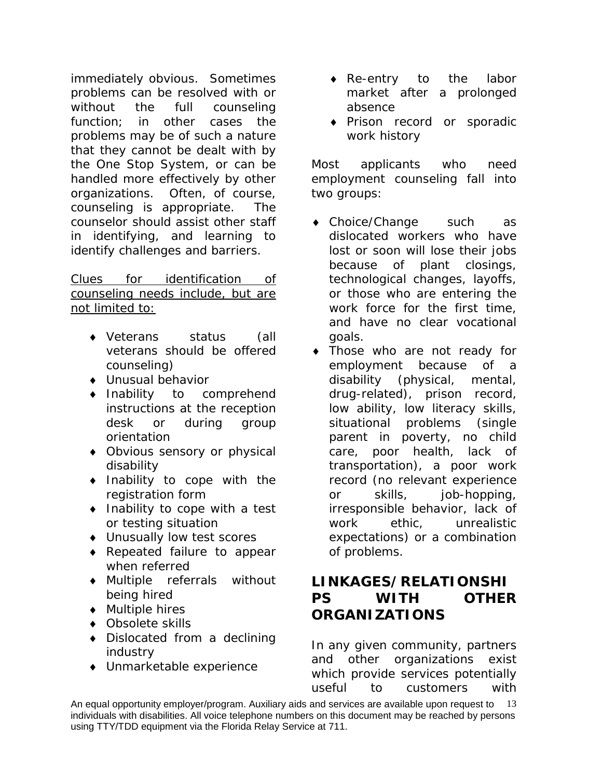immediately obvious. Sometimes problems can be resolved with or without the full counseling function; in other cases the problems may be of such a nature that they cannot be dealt with by the One Stop System, or can be handled more effectively by other organizations. Often, of course, counseling is appropriate. The counselor should assist other staff in identifying, and learning to identify challenges and barriers.

Clues for identification of counseling needs include, but are not limited to:

- ♦ Veterans status (all veterans should be offered counseling)
- ♦ Unusual behavior
- ♦ Inability to comprehend instructions at the reception desk or during group orientation
- ♦ Obvious sensory or physical disability
- ♦ Inability to cope with the registration form
- ♦ Inability to cope with a test or testing situation
- ♦ Unusually low test scores
- ♦ Repeated failure to appear when referred
- ♦ Multiple referrals without being hired
- ♦ Multiple hires
- ♦ Obsolete skills
- ♦ Dislocated from a declining industry
- ♦ Unmarketable experience
- ♦ Re-entry to the labor market after a prolonged absence
- ♦ Prison record or sporadic work history

Most applicants who need employment counseling fall into two groups:

- ♦ Choice/Change such as dislocated workers who have lost or soon will lose their jobs because of plant closings, technological changes, layoffs, or those who are entering the work force for the first time, and have no clear vocational goals.
- ♦ Those who are not ready for employment because of a disability (physical, mental, drug-related), prison record, low ability, low literacy skills, situational problems (single parent in poverty, no child care, poor health, lack of transportation), a poor work record (no relevant experience or skills, job-hopping, irresponsible behavior, lack of work ethic, unrealistic expectations) or a combination of problems.

# **LINKAGES/RELATIONSHI PS WITH OTHER ORGANIZATIONS**

In any given community, partners and other organizations exist which provide services potentially useful to customers with

An equal opportunity employer/program. Auxiliary aids and services are available upon request to 13 individuals with disabilities. All voice telephone numbers on this document may be reached by persons using TTY/TDD equipment via the Florida Relay Service at 711.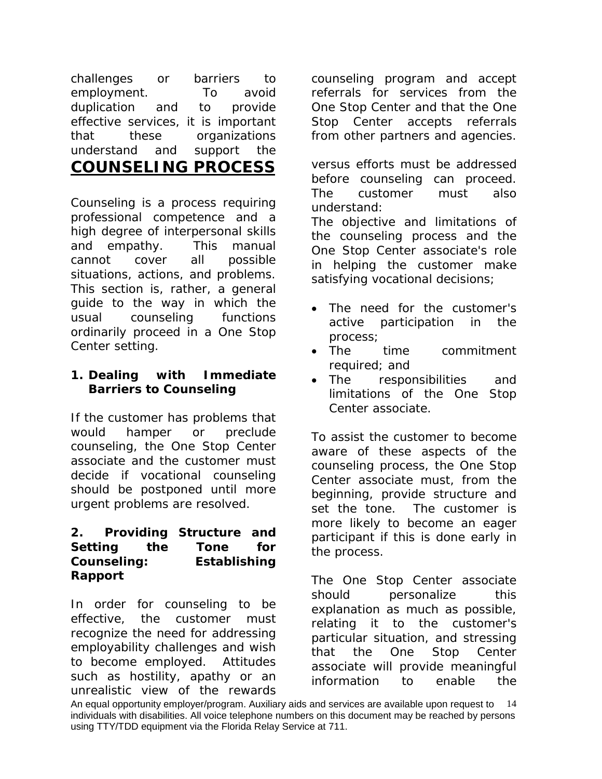challenges or barriers to employment. To avoid duplication and to provide effective services, it is important that these organizations understand and support the **COUNSELING PROCESS**

Counseling is a process requiring professional competence and a high degree of interpersonal skills and empathy. This manual cannot cover all possible situations, actions, and problems. This section is, rather, a general guide to the way in which the usual counseling functions ordinarily proceed in a One Stop Center setting.

## **1. Dealing with Immediate Barriers to Counseling**

If the customer has problems that would hamper or preclude counseling, the One Stop Center associate and the customer must decide if vocational counseling should be postponed until more urgent problems are resolved.

#### **2. Providing Structure and Setting the Tone for Counseling: Establishing Rapport**

In order for counseling to be effective, the customer must recognize the need for addressing employability challenges and wish to become employed. Attitudes such as hostility, apathy or an unrealistic view of the rewards counseling program and accept referrals for services from the One Stop Center and that the One Stop Center accepts referrals from other partners and agencies.

versus efforts must be addressed before counseling can proceed. The customer must also understand:

The objective and limitations of the counseling process and the One Stop Center associate's role in helping the customer make satisfying vocational decisions;

- The need for the customer's active participation in the process;
- The time commitment required; and
- The responsibilities and limitations of the One Stop Center associate.

To assist the customer to become aware of these aspects of the counseling process, the One Stop Center associate must, from the beginning, provide structure and set the tone. The customer is more likely to become an eager participant if this is done early in the process.

The One Stop Center associate should personalize this explanation as much as possible, relating it to the customer's particular situation, and stressing that the One Stop Center associate will provide meaningful information to enable the

An equal opportunity employer/program. Auxiliary aids and services are available upon request to 14 individuals with disabilities. All voice telephone numbers on this document may be reached by persons using TTY/TDD equipment via the Florida Relay Service at 711.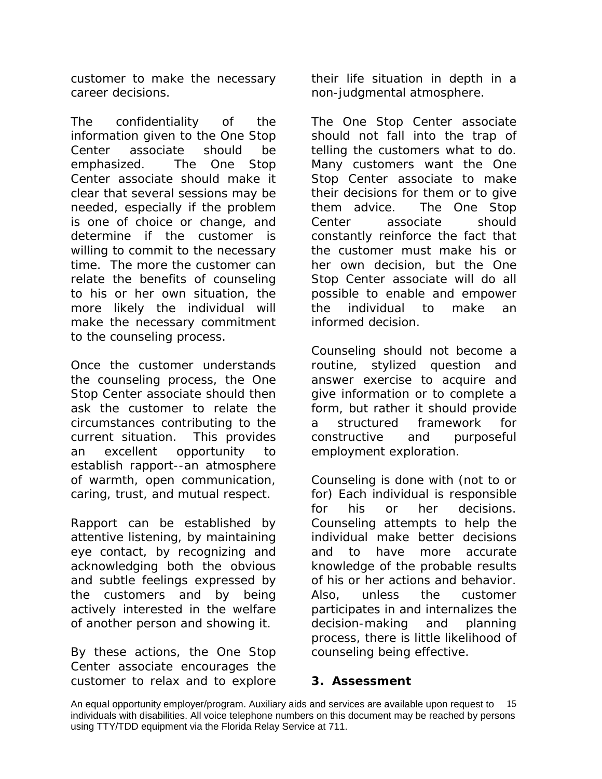customer to make the necessary career decisions.

The confidentiality of the information given to the One Stop Center associate should be emphasized. The One Stop Center associate should make it clear that several sessions may be needed, especially if the problem is one of choice or change, and determine if the customer is willing to commit to the necessary time. The more the customer can relate the benefits of counseling to his or her own situation, the more likely the individual will make the necessary commitment to the counseling process.

Once the customer understands the counseling process, the One Stop Center associate should then ask the customer to relate the circumstances contributing to the current situation. This provides an excellent opportunity to establish rapport--an atmosphere of warmth, open communication, caring, trust, and mutual respect.

Rapport can be established by attentive listening, by maintaining eye contact, by recognizing and acknowledging both the obvious and subtle feelings expressed by the customers and by being actively interested in the welfare of another person and showing it.

By these actions, the One Stop Center associate encourages the customer to relax and to explore their life situation in depth in a non-judgmental atmosphere.

The One Stop Center associate *should not* fall into the trap of telling the customers what to do. Many customers want the One Stop Center associate to make their decisions for them or to give them advice. The One Stop Center associate should constantly reinforce the fact that the customer must make his or her own decision, but the One Stop Center associate will do all possible to enable and empower the individual to make an informed decision.

Counseling should not become a routine, stylized question and answer exercise to acquire and give information or to complete a form, but rather it should provide a structured framework for constructive and purposeful employment exploration.

*Counseling is done with (not to or for)* Each individual is responsible for his or her decisions. Counseling attempts to help the individual make better decisions and to have more accurate knowledge of the probable results of his or her actions and behavior. Also, unless the customer participates in and internalizes the decision-making and planning process, there is little likelihood of counseling being effective.

#### **3. Assessment**

An equal opportunity employer/program. Auxiliary aids and services are available upon request to 15 individuals with disabilities. All voice telephone numbers on this document may be reached by persons using TTY/TDD equipment via the Florida Relay Service at 711.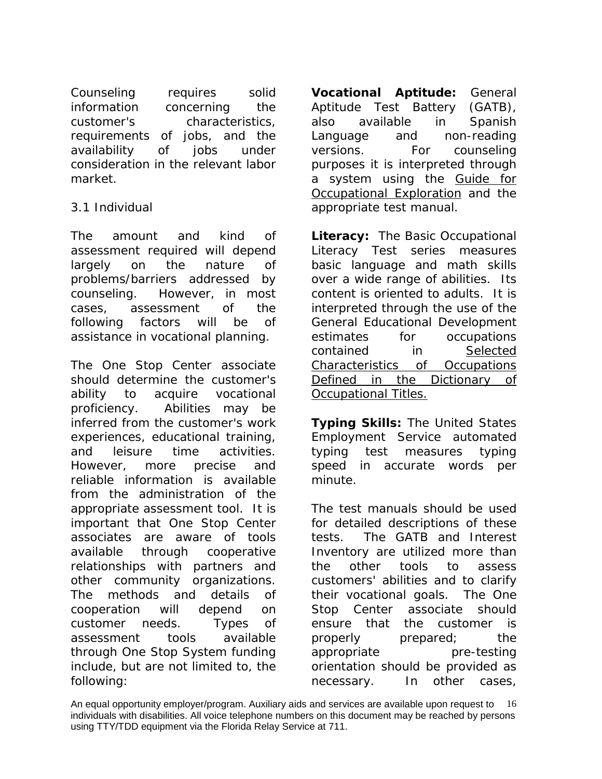Counseling requires solid information concerning the customer's characteristics, requirements of jobs, and the availability of jobs under consideration in the relevant labor market.

## 3.1 Individual

The amount and kind of assessment required will depend largely on the nature of problems/barriers addressed by counseling. However, in most cases, assessment of the following factors will be of assistance in vocational planning.

The One Stop Center associate should determine the customer's ability to acquire vocational proficiency. Abilities may be inferred from the customer's work experiences, educational training, and leisure time activities. However, more precise and reliable information is available from the administration of the appropriate assessment tool. It is important that One Stop Center associates are aware of tools available through cooperative relationships with partners and other community organizations. The methods and details of cooperation will depend on customer needs. Types of assessment tools available through One Stop System funding include, but are not limited to, the following:

**Vocational Aptitude:** General Aptitude Test Battery (GATB), also available in Spanish Language and non-reading versions. For counseling purposes it is interpreted through a system using the Guide for Occupational Exploration and the appropriate test manual.

**Literacy:** The Basic Occupational Literacy Test series measures basic language and math skills over a wide range of abilities. Its content is oriented to adults. It is interpreted through the use of the General Educational Development estimates for occupations contained in Selected Characteristics of Occupations Defined in the Dictionary of Occupational Titles.

**Typing Skills:** The United States Employment Service automated typing test measures typing speed in accurate words per minute.

The test manuals should be used for detailed descriptions of these tests. The GATB and Interest Inventory are utilized more than the other tools to assess customers' abilities and to clarify their vocational goals. The One Stop Center associate should ensure that the customer is properly prepared; the appropriate pre-testing orientation should be provided as necessary. In other cases,

An equal opportunity employer/program. Auxiliary aids and services are available upon request to 16 individuals with disabilities. All voice telephone numbers on this document may be reached by persons using TTY/TDD equipment via the Florida Relay Service at 711.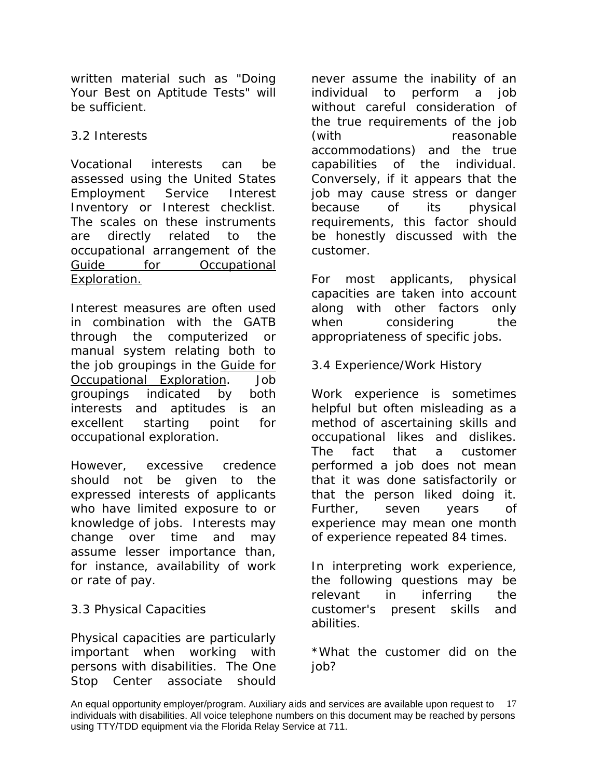written material such as "Doing Your Best on Aptitude Tests" will be sufficient.

# 3.2 Interests

Vocational interests can be assessed using the United States Employment Service Interest Inventory or Interest checklist. The scales on these instruments are directly related to the occupational arrangement of the Guide for Occupational Exploration.

Interest measures are often used in combination with the GATB through the computerized or manual system relating both to the job groupings in the Guide for Occupational Exploration. Job groupings indicated by both interests and aptitudes is an excellent starting point for occupational exploration.

However, excessive credence should not be given to the expressed interests of applicants who have limited exposure to or knowledge of jobs. Interests may change over time and may assume lesser importance than, for instance, availability of work or rate of pay.

# 3.3 Physical Capacities

Physical capacities are particularly important when working with persons with disabilities. The One Stop Center associate should

never assume the inability of an individual to perform a job without careful consideration of the true requirements of the job (with reasonable accommodations) and the true capabilities of the individual. Conversely, if it appears that the job may cause stress or danger because of its physical requirements, this factor should be honestly discussed with the customer.

For most applicants, physical capacities are taken into account along with other factors only when considering the appropriateness of specific jobs.

3.4 Experience/Work History

Work experience is sometimes helpful but often misleading as a method of ascertaining skills and occupational likes and dislikes. The fact that a customer performed a job does not mean that it was done satisfactorily or that the person liked doing it. Further, seven years of experience may mean one month of experience repeated 84 times.

In interpreting work experience, the following questions may be relevant in inferring the customer's present skills and abilities.

\*What the customer did on the job?

An equal opportunity employer/program. Auxiliary aids and services are available upon request to 17 individuals with disabilities. All voice telephone numbers on this document may be reached by persons using TTY/TDD equipment via the Florida Relay Service at 711.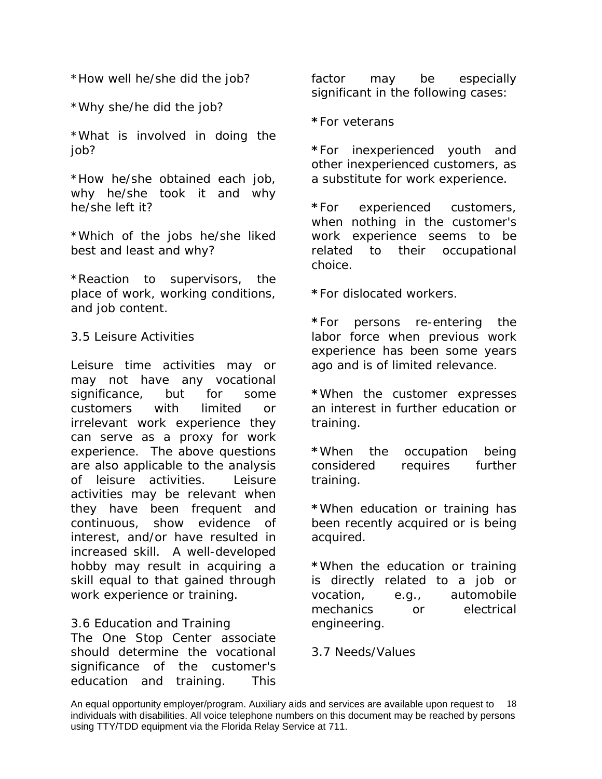\*How well he/she did the job?

\*Why she/he did the job?

\*What is involved in doing the job?

\*How he/she obtained each job, why he/she took it and why he/she left it?

\*Which of the jobs he/she liked best and least and why?

\*Reaction to supervisors, the place of work, working conditions, and job content.

#### 3.5 Leisure Activities

Leisure time activities may or may not have any vocational significance, but for some customers with limited or irrelevant work experience they can serve as a proxy for work experience. The above questions are also applicable to the analysis of leisure activities. Leisure activities may be relevant when they have been frequent and continuous, show evidence of interest, and/or have resulted in increased skill. A well-developed hobby may result in acquiring a skill equal to that gained through work experience or training.

## 3.6 Education and Training

The One Stop Center associate should determine the vocational significance of the customer's education and training. This factor may be especially significant in the following cases:

**\***For veterans

**\***For inexperienced youth and other inexperienced customers, as a substitute for work experience.

**\***For experienced customers, when nothing in the customer's work experience seems to be related to their occupational choice.

**\***For dislocated workers.

**\***For persons re-entering the labor force when previous work experience has been some years ago and is of limited relevance.

**\***When the customer expresses an interest in further education or training.

**\***When the occupation being considered requires further training.

**\***When education or training has been recently acquired or is being acquired.

**\***When the education or training is directly related to a job or vocation, e.g., automobile mechanics or electrical engineering.

#### 3.7 Needs/Values

An equal opportunity employer/program. Auxiliary aids and services are available upon request to 18 individuals with disabilities. All voice telephone numbers on this document may be reached by persons using TTY/TDD equipment via the Florida Relay Service at 711.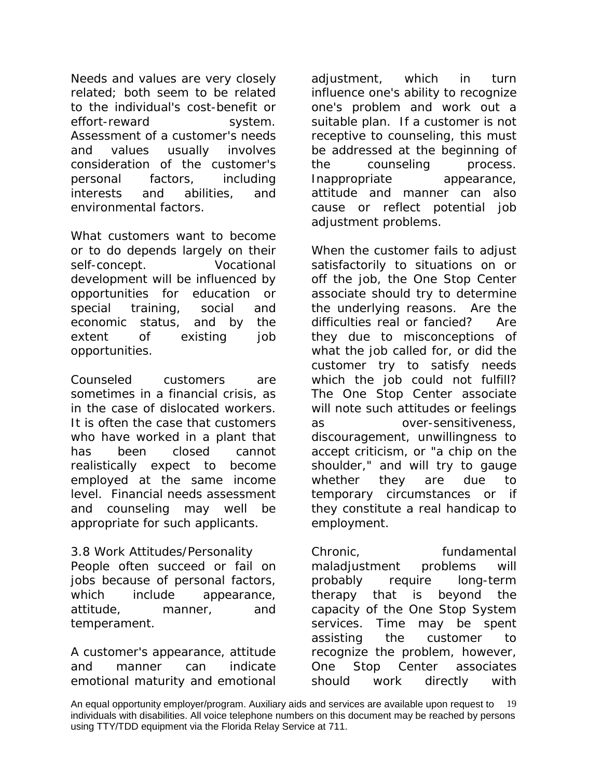Needs and values are very closely related; both seem to be related to the individual's cost-benefit or effort-reward system. Assessment of a customer's needs and values usually involves consideration of the customer's personal factors, including interests and abilities, and environmental factors.

What customers want to become or to do depends largely on their self-concept. Vocational development will be influenced by opportunities for education or special training, social and economic status, and by the extent of existing job opportunities.

Counseled customers are sometimes in a financial crisis, as in the case of dislocated workers. It is often the case that customers who have worked in a plant that has been closed cannot realistically expect to become employed at the same income level. Financial needs assessment and counseling may well be appropriate for such applicants.

3.8 Work Attitudes/Personality People often succeed or fail on jobs because of personal factors, which include appearance, attitude, manner, and temperament.

A customer's appearance, attitude and manner can indicate emotional maturity and emotional

adjustment, which in turn influence one's ability to recognize one's problem and work out a suitable plan. If a customer is not receptive to counseling, this must be addressed at the beginning of the counseling process. Inappropriate appearance, attitude and manner can also cause or reflect potential job adjustment problems.

When the customer fails to adjust satisfactorily to situations on or off the job, the One Stop Center associate should try to determine the underlying reasons. Are the difficulties real or fancied? Are they due to misconceptions of what the job called for, or did the customer try to satisfy needs which the job could not fulfill? The One Stop Center associate will note such attitudes or feelings as over-sensitiveness, discouragement, unwillingness to accept criticism, or "a chip on the shoulder," and will try to gauge whether they are due to temporary circumstances or if they constitute a real handicap to employment.

Chronic, fundamental maladjustment problems will probably require long-term therapy that is beyond the capacity of the One Stop System services. Time may be spent assisting the customer to recognize the problem, however, One Stop Center associates should work directly with

An equal opportunity employer/program. Auxiliary aids and services are available upon request to 19 individuals with disabilities. All voice telephone numbers on this document may be reached by persons using TTY/TDD equipment via the Florida Relay Service at 711.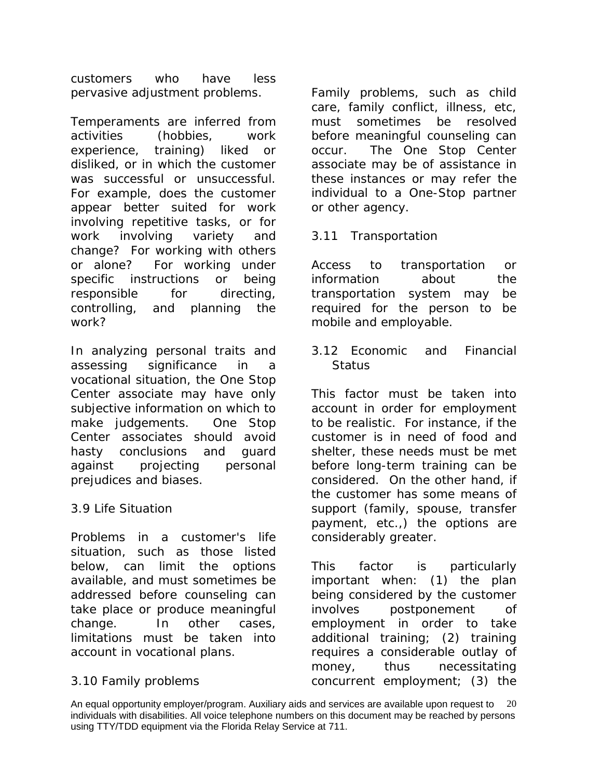customers who have less pervasive adjustment problems.

Temperaments are inferred from activities (hobbies, work experience, training) liked or disliked, or in which the customer was successful or unsuccessful. For example, does the customer appear better suited for work involving repetitive tasks, or for work involving variety and change? For working with others or alone? For working under specific instructions or being responsible for directing, controlling, and planning the work?

In analyzing personal traits and assessing significance in a vocational situation, the One Stop Center associate may have only subjective information on which to make judgements. One Stop Center associates should avoid hasty conclusions and guard against projecting personal prejudices and biases.

## 3.9 Life Situation

Problems in a customer's life situation, such as those listed below, can limit the options available, and must sometimes be addressed before counseling can take place or produce meaningful change. In other cases, limitations must be taken into account in vocational plans.

# 3.10 Family problems

Family problems, such as child care, family conflict, illness, etc, must sometimes be resolved before meaningful counseling can occur. The One Stop Center associate may be of assistance in these instances or may refer the individual to a One-Stop partner or other agency.

## 3.11 Transportation

Access to transportation or information about the transportation system may be required for the person to be mobile and employable.

3.12 Economic and Financial **Status** 

This factor must be taken into account in order for employment to be realistic. For instance, if the customer is in need of food and shelter, these needs must be met before long-term training can be considered. On the other hand, if the customer has some means of support (family, spouse, transfer payment, etc.,) the options are considerably greater.

This factor is particularly important when: (1) the plan being considered by the customer involves postponement of employment in order to take additional training; (2) training requires a considerable outlay of money, thus necessitating concurrent employment; (3) the

An equal opportunity employer/program. Auxiliary aids and services are available upon request to 20 individuals with disabilities. All voice telephone numbers on this document may be reached by persons using TTY/TDD equipment via the Florida Relay Service at 711.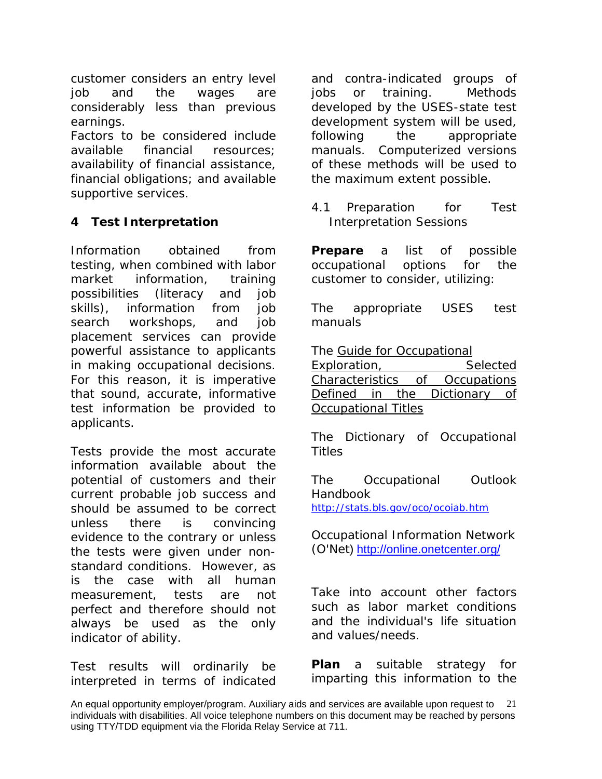customer considers an entry level job and the wages are considerably less than previous earnings.

Factors to be considered include available financial resources; availability of financial assistance, financial obligations; and available supportive services.

# **4 Test Interpretation**

Information obtained from testing, when combined with labor market information, training possibilities (literacy and job skills), information from job search workshops, and job placement services can provide powerful assistance to applicants in making occupational decisions. For this reason, it is imperative that sound, accurate, informative test information be provided to applicants.

Tests provide the most accurate information available about the potential of customers and their current probable job success and should be assumed to be correct unless there is convincing evidence to the contrary or unless the tests were given under nonstandard conditions. However, as is the case with all human measurement, tests are not perfect and therefore should not always be used as the only indicator of ability.

Test results will ordinarily be interpreted in terms of indicated and contra-indicated groups of jobs or training. Methods developed by the USES-state test development system will be used, following the appropriate manuals. Computerized versions of these methods will be used to the maximum extent possible.

4.1 Preparation for Test Interpretation Sessions

**Prepare** a list of possible occupational options for the customer to consider, utilizing:

*The appropriate USES test manuals*

*The Guide for Occupational* 

*Exploration, Selected Characteristics of Occupations Defined in the Dictionary of Occupational Titles*

*The Dictionary of Occupational Titles* 

*The Occupational Outlook Handbook <http://stats.bls.gov/oco/ocoiab.htm>*

Occupational Information Network (O'Net)<http://online.onetcenter.org/>

Take into account other factors such as labor market conditions and the individual's life situation and values/needs.

**Plan** a suitable strategy for imparting this information to the

An equal opportunity employer/program. Auxiliary aids and services are available upon request to 21 individuals with disabilities. All voice telephone numbers on this document may be reached by persons using TTY/TDD equipment via the Florida Relay Service at 711.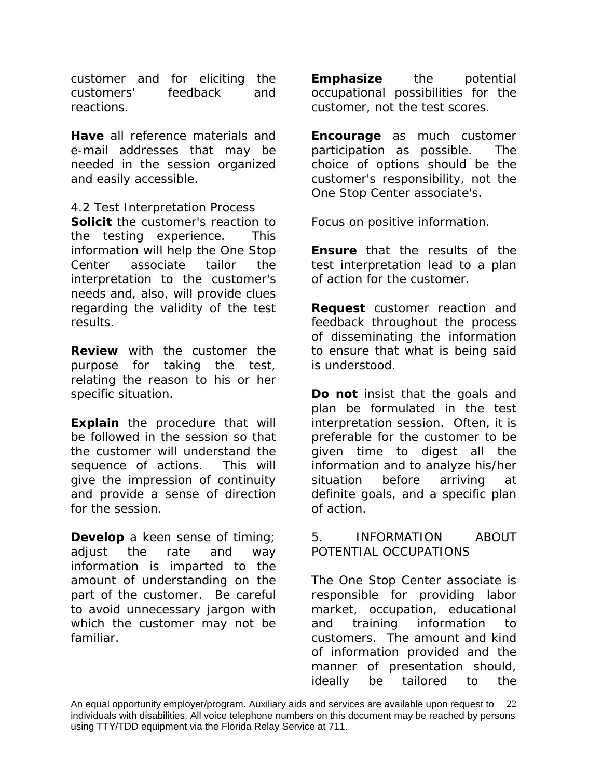customer and for eliciting the customers' feedback and reactions.

**Have** all reference materials and e-mail addresses that may be needed in the session organized and easily accessible.

4.2 Test Interpretation Process **Solicit** the customer's reaction to the testing experience. This information will help the One Stop Center associate tailor the interpretation to the customer's needs and, also, will provide clues regarding the validity of the test results.

**Review** with the customer the purpose for taking the test, relating the reason to his or her specific situation.

**Explain** the procedure that will be followed in the session so that the customer will understand the sequence of actions. This will give the impression of continuity and provide a sense of direction for the session.

**Develop** a keen sense of timing; adjust the rate and way information is imparted to the amount of understanding on the part of the customer. Be careful to avoid unnecessary jargon with which the customer may not be familiar.

**Emphasize** the potential occupational possibilities for the customer, not the test scores.

**Encourage** as much customer participation as possible. The choice of options should be the customer's responsibility, not the One Stop Center associate's.

Focus on positive information.

**Ensure** that the results of the test interpretation lead to a plan of action for the customer.

**Request** customer reaction and feedback throughout the process of disseminating the information to ensure that what is being said is understood.

**Do not** insist that the goals and plan be formulated in the test interpretation session. Often, it is preferable for the customer to be given time to digest all the information and to analyze his/her situation before arriving at definite goals, and a specific plan of action.

5. INFORMATION ABOUT POTENTIAL OCCUPATIONS

The One Stop Center associate is responsible for providing labor market, occupation, educational and training information to customers. The amount and kind of information provided and the manner of presentation should, ideally be tailored to the

An equal opportunity employer/program. Auxiliary aids and services are available upon request to 22 individuals with disabilities. All voice telephone numbers on this document may be reached by persons using TTY/TDD equipment via the Florida Relay Service at 711.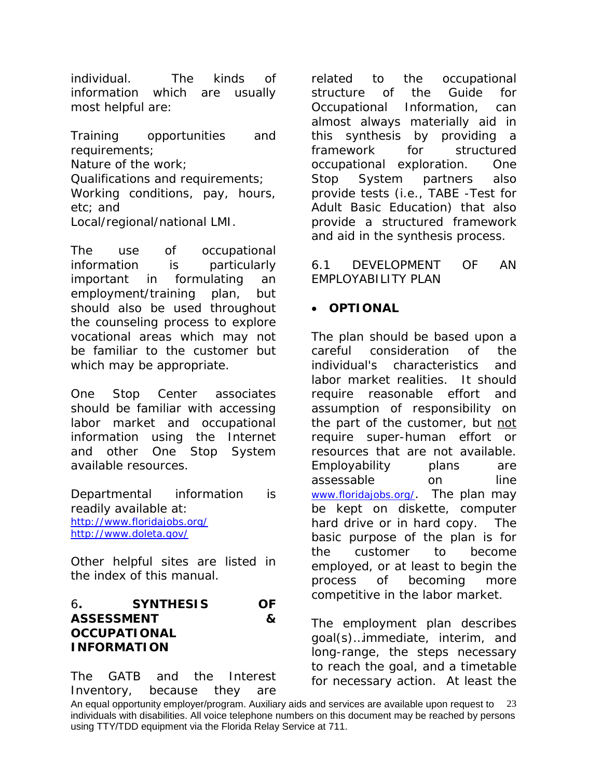individual. The kinds of information which are usually most helpful are:

Training opportunities and requirements; Nature of the work; Qualifications and requirements; Working conditions, pay, hours, etc; and Local/regional/national LMI.

The use of occupational information is particularly important in formulating an employment/training plan, but should also be used throughout the counseling process to explore vocational areas which may not be familiar to the customer but which may be appropriate.

One Stop Center associates should be familiar with accessing labor market and occupational information using the Internet and other One Stop System available resources.

Departmental information is readily available at: <http://www.floridajobs.org/> <http://www.doleta.gov/>

Other helpful sites are listed in the index of this manual.

## 6**. SYNTHESIS OF ASSESSMENT & OCCUPATIONAL INFORMATION**

The GATB and the Interest Inventory, because they are related to the occupational structure of the Guide for Occupational Information, can almost always materially aid in this synthesis by providing a framework for structured occupational exploration. One Stop System partners also provide tests (i.e., TABE -Test for Adult Basic Education) that also provide a structured framework and aid in the synthesis process.

6.1 DEVELOPMENT OF AN EMPLOYABILITY PLAN

# • *OPTIONAL*

The plan should be based upon a careful consideration of the individual's characteristics and labor market realities. It should require reasonable effort and assumption of responsibility on the part of the customer, but not require super-human effort or resources that are not available. Employability plans are assessable on line [www.floridajobs.org/.](http://www.floridajobs.org/) The plan may be kept on diskette, computer hard drive or in hard copy. The basic purpose of the plan is for the customer to become employed, or at least to begin the process of becoming more competitive in the labor market.

The employment plan describes goal(s)…immediate, interim, and long-range, the steps necessary to reach the goal, and a timetable for necessary action. At least the

An equal opportunity employer/program. Auxiliary aids and services are available upon request to 23 individuals with disabilities. All voice telephone numbers on this document may be reached by persons using TTY/TDD equipment via the Florida Relay Service at 711.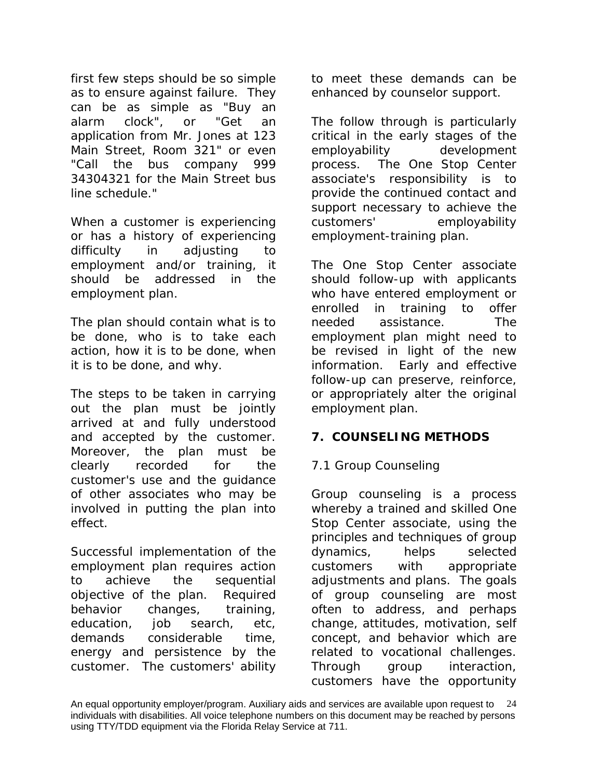first few steps should be so simple as to ensure against failure. They can be as simple as "Buy an alarm clock", or "Get an application from Mr. Jones at 123 Main Street, Room 321" or even "Call the bus company 999 34304321 for the Main Street bus line schedule."

When a customer is experiencing or has a history of experiencing difficulty in adjusting to employment and/or training, it should be addressed in the employment plan.

The plan should contain *what* is to be done, *who* is to take each action, *how* it is to be done, *when* it is to be done, and *why.*

The steps to be taken in carrying out the plan must be jointly arrived at and fully understood and accepted by the customer. Moreover, the plan must be clearly recorded for the customer's use and the guidance of other associates who may be involved in putting the plan into effect.

Successful implementation of the employment plan requires action to achieve the sequential objective of the plan. Required behavior changes, training, education, job search, etc, demands considerable time, energy and persistence by the customer. The customers' ability

to meet these demands can be enhanced by counselor support.

The follow through is particularly critical in the early stages of the employability development process. The One Stop Center associate's responsibility is to provide the continued contact and support necessary to achieve the customers' employability employment-training plan.

The One Stop Center associate should follow-up with applicants who have entered employment or enrolled in training to offer needed assistance. The employment plan might need to be revised in light of the new information. Early and effective follow-up can preserve, reinforce, or appropriately alter the original employment plan.

## **7. COUNSELING METHODS**

# 7.1 Group Counseling

Group counseling is a process whereby a trained and skilled One Stop Center associate, using the principles and techniques of group dynamics, helps selected customers with appropriate adjustments and plans. The goals of group counseling are most often to address, and perhaps change, attitudes, motivation, self concept, and behavior which are related to vocational challenges. Through group interaction, customers have the opportunity

An equal opportunity employer/program. Auxiliary aids and services are available upon request to 24 individuals with disabilities. All voice telephone numbers on this document may be reached by persons using TTY/TDD equipment via the Florida Relay Service at 711.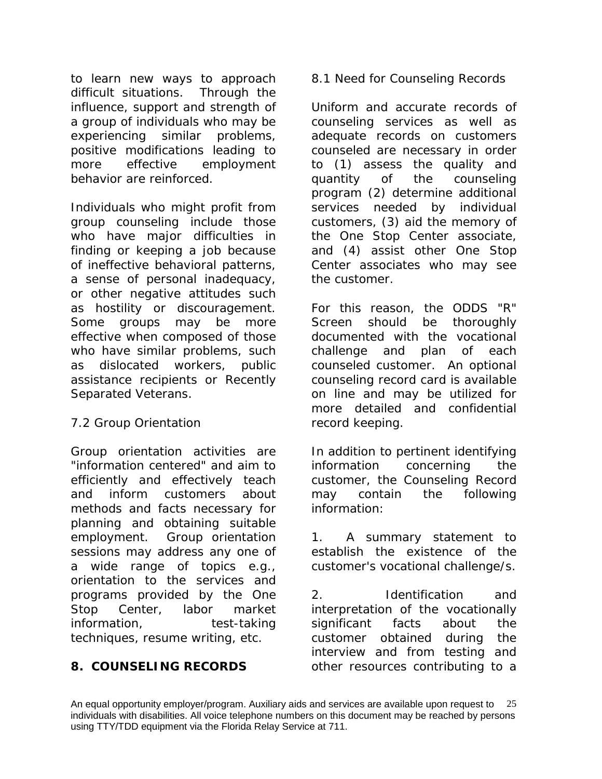to learn new ways to approach difficult situations. Through the influence, support and strength of a group of individuals who may be experiencing similar problems, positive modifications leading to more effective employment behavior are reinforced.

Individuals who might profit from group counseling include those who have major difficulties in finding or keeping a job because of ineffective behavioral patterns, a sense of personal inadequacy, or other negative attitudes such as hostility or discouragement. Some groups may be more effective when composed of those who have similar problems, such as dislocated workers, public assistance recipients or Recently Separated Veterans.

## 7.2 Group Orientation

Group orientation activities are "information centered" and aim to efficiently and effectively teach and inform customers about methods and facts necessary for planning and obtaining suitable employment. Group orientation sessions may address any one of a wide range of topics e.g., orientation to the services and programs provided by the One Stop Center, labor market information, test-taking techniques, resume writing, etc.

## **8. COUNSELING RECORDS**

8.1 Need for Counseling Records

Uniform and accurate records of counseling services as well as adequate records on customers counseled are necessary in order to (1) assess the quality and quantity of the counseling program (2) determine additional services needed by individual customers, (3) aid the memory of the One Stop Center associate, and (4) assist other One Stop Center associates who may see the customer.

For this reason, the ODDS "R" Screen should be thoroughly documented with the vocational challenge and plan of each counseled customer. An *optional* counseling record card is available on line and may be utilized for more detailed and confidential record keeping.

In addition to pertinent identifying information concerning the customer, the Counseling Record may contain the following information:

1. A summary statement to establish the existence of the customer's vocational challenge/s.

2. Identification and interpretation of the vocationally significant facts about the customer obtained during the interview and from testing and other resources contributing to a

An equal opportunity employer/program. Auxiliary aids and services are available upon request to 25 individuals with disabilities. All voice telephone numbers on this document may be reached by persons using TTY/TDD equipment via the Florida Relay Service at 711.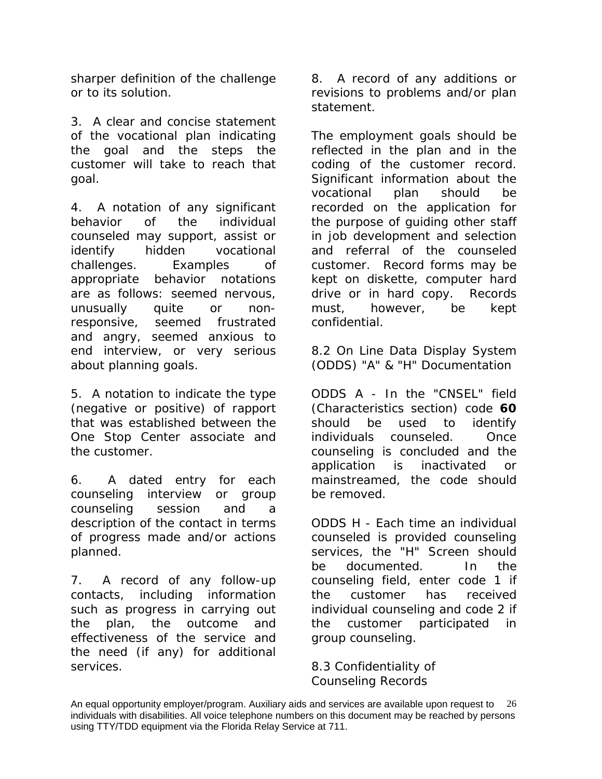sharper definition of the challenge or to its solution.

3. A clear and concise statement of the vocational plan indicating the goal and the steps the customer will take to reach that goal.

4. A notation of any significant behavior of the individual counseled may support, assist or identify hidden vocational challenges. Examples of appropriate behavior notations are as follows: seemed *nervous, unusually quite or nonresponsive, seemed frustrated and angry, seemed anxious to end interview, or very serious about planning goals*.

5. A notation to indicate the type (negative or positive) of rapport that was established between the One Stop Center associate and the customer.

6. A dated entry for each counseling interview or group counseling session and a description of the contact in terms of progress made and/or actions planned.

7. A record of any follow-up contacts, including information such as progress in carrying out the plan, the outcome and effectiveness of the service and the need (if any) for additional services.

8. A record of any additions or revisions to problems and/or plan statement.

The employment goals should be reflected in the plan and in the coding of the customer record. Significant information about the vocational plan should be recorded on the application for the purpose of guiding other staff in job development and selection and referral of the counseled customer. Record forms may be kept on diskette, computer hard drive or in hard copy. Records must, however, be kept confidential.

8.2 On Line Data Display System (ODDS) "A" & "H" Documentation

ODDS A - In the "CNSEL" field (Characteristics section) code **60** should be used to identify individuals counseled. Once counseling is concluded and the application is inactivated or mainstreamed, the code should be removed.

ODDS H - Each time an individual counseled is provided counseling services, the "H" Screen should be documented. In the counseling field, enter code 1 if the customer has received individual counseling and code 2 if the customer participated in group counseling.

8.3 Confidentiality of Counseling Records

An equal opportunity employer/program. Auxiliary aids and services are available upon request to 26 individuals with disabilities. All voice telephone numbers on this document may be reached by persons using TTY/TDD equipment via the Florida Relay Service at 711.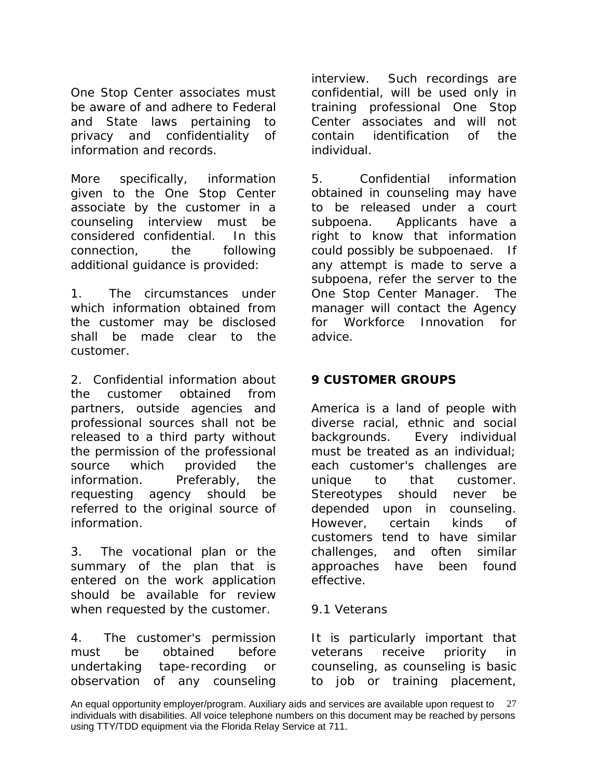One Stop Center associates must be aware of and adhere to Federal and State laws pertaining to privacy and confidentiality of information and records.

More specifically, information given to the One Stop Center associate by the customer in a counseling interview must be considered confidential. In this connection, the following additional guidance is provided:

1. The circumstances under which information obtained from the customer may be disclosed shall be made clear to the customer.

2. Confidential information about the customer obtained from partners, outside agencies and professional sources shall not be released to a third party without the permission of the professional source which provided the information. Preferably, the requesting agency should be referred to the original source of information.

3. The vocational plan or the summary of the plan that is entered on the work application should be available for review when requested by the customer.

4. The customer's permission must be obtained before undertaking tape-recording or observation of any counseling

interview. Such recordings are confidential, will be used only in training professional One Stop Center associates and will not contain identification of the individual.

5. Confidential information obtained in counseling may have to be released under a court subpoena. Applicants have a right to know that information could possibly be subpoenaed. If any attempt is made to serve a subpoena, refer the server to the One Stop Center Manager. The manager will contact the Agency for Workforce Innovation for advice.

# **9 CUSTOMER GROUPS**

America is a land of people with diverse racial, ethnic and social backgrounds. Every individual must be treated as an individual; each customer's challenges are unique to that customer. Stereotypes should never be depended upon in counseling. However, certain kinds of customers tend to have similar challenges, and often similar approaches have been found effective.

#### 9.1 Veterans

It is particularly important that veterans receive priority in counseling, as counseling is basic to job or training placement,

An equal opportunity employer/program. Auxiliary aids and services are available upon request to 27 individuals with disabilities. All voice telephone numbers on this document may be reached by persons using TTY/TDD equipment via the Florida Relay Service at 711.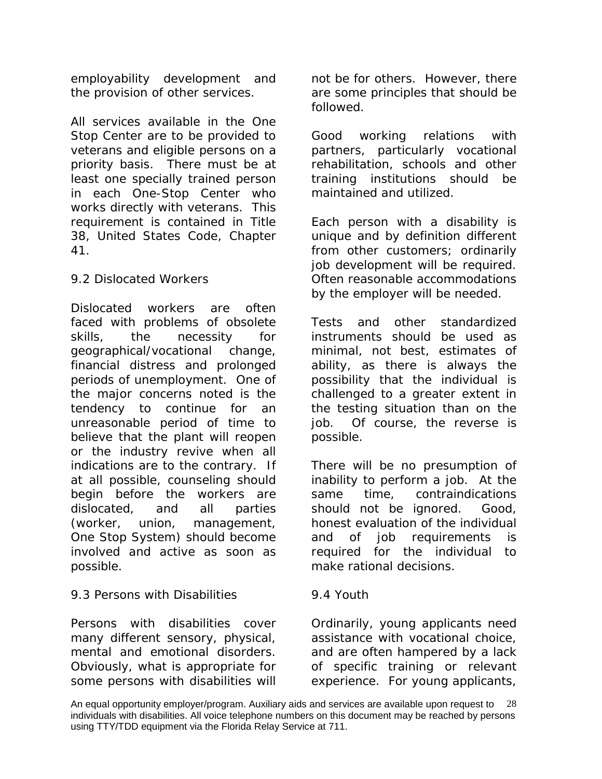employability development and the provision of other services.

All services available in the One Stop Center are to be provided to veterans and eligible persons on a priority basis. There must be at least one specially trained person in each One-Stop Center who works directly with veterans. This requirement is contained in Title 38, United States Code, Chapter 41.

# 9.2 Dislocated Workers

Dislocated workers are often faced with problems of obsolete skills, the necessity for geographical/vocational change, financial distress and prolonged periods of unemployment. One of the major concerns noted is the tendency to continue for an unreasonable period of time to believe that the plant will reopen or the industry revive when all indications are to the contrary. If at all possible, counseling should begin before the workers are dislocated, and all parties (worker, union, management, One Stop System) should become involved and active as soon as possible.

# 9.3 Persons with Disabilities

Persons with disabilities cover many different sensory, physical, mental and emotional disorders. Obviously, what is appropriate for some persons with disabilities will not be for others. However, there are some principles that should be followed.

Good working relations with partners, particularly vocational rehabilitation, schools and other training institutions should be maintained and utilized.

Each person with a disability is unique and by definition different from other customers; ordinarily job development will be required. Often reasonable accommodations by the employer will be needed.

Tests and other standardized instruments should be used as minimal, not best, estimates of ability, as there is always the possibility that the individual is challenged to a greater extent in the testing situation than on the job. Of course, the reverse is possible.

There will be no presumption of inability to perform a job. At the same time, contraindications should not be ignored. Good, honest evaluation of the individual and of job requirements is required for the individual to make rational decisions.

## 9.4 Youth

Ordinarily, young applicants need assistance with vocational choice, and are often hampered by a lack of specific training or relevant experience. For young applicants,

An equal opportunity employer/program. Auxiliary aids and services are available upon request to 28 individuals with disabilities. All voice telephone numbers on this document may be reached by persons using TTY/TDD equipment via the Florida Relay Service at 711.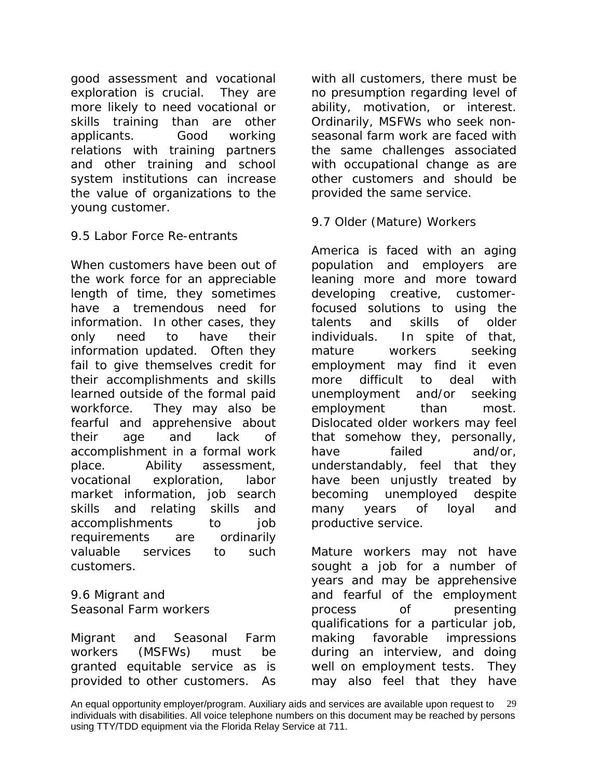good assessment and vocational exploration is crucial. They are more likely to need vocational or skills training than are other applicants. Good working relations with training partners and other training and school system institutions can increase the value of organizations to the young customer.

## 9.5 Labor Force Re-entrants

When customers have been out of the work force for an appreciable length of time, they sometimes have a tremendous need for information. In other cases, they only need to have their information updated. Often they fail to give themselves credit for their accomplishments and skills learned outside of the formal paid workforce. They may also be fearful and apprehensive about their age and lack of accomplishment in a formal work place. Ability assessment, vocational exploration, labor market information, job search skills and relating skills and accomplishments to job requirements are ordinarily valuable services to such customers.

9.6 Migrant and Seasonal Farm workers

Migrant and Seasonal Farm workers (MSFWs) must be granted equitable service as is provided to other customers. As with all customers, there must be no presumption regarding level of ability, motivation, or interest. Ordinarily, MSFWs who seek nonseasonal farm work are faced with the same challenges associated with occupational change as are other customers and should be provided the same service.

#### 9.7 Older (Mature) Workers

America is faced with an aging population and employers are leaning more and more toward developing creative, customerfocused solutions to using the talents and skills of older individuals. In spite of that, mature workers seeking employment may find it even more difficult to deal with unemployment and/or seeking employment than most. Dislocated older workers may feel that somehow they, personally, have failed and/or, understandably, feel that they have been unjustly treated by becoming unemployed despite many years of loyal and productive service.

Mature workers may not have sought a job for a number of years and may be apprehensive and fearful of the employment process of presenting qualifications for a particular job, making favorable impressions during an interview, and doing well on employment tests. They may also feel that they have

An equal opportunity employer/program. Auxiliary aids and services are available upon request to 29 individuals with disabilities. All voice telephone numbers on this document may be reached by persons using TTY/TDD equipment via the Florida Relay Service at 711.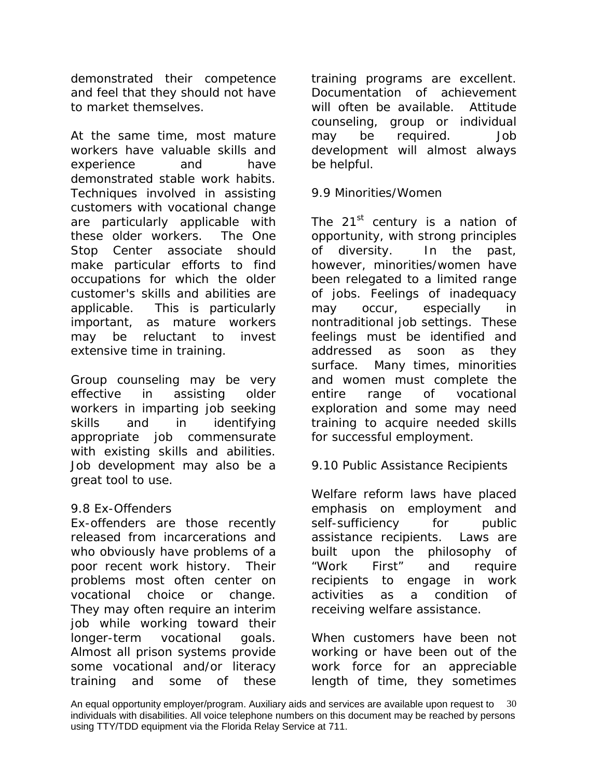demonstrated their competence and feel that they should not have to market themselves.

At the same time, most mature workers have valuable skills and experience and have demonstrated stable work habits. Techniques involved in assisting customers with vocational change are particularly applicable with these older workers. The One Stop Center associate should make particular efforts to find occupations for which the older customer's skills and abilities are applicable. This is particularly important, as mature workers may be reluctant to invest extensive time in training.

Group counseling may be very effective in assisting older workers in imparting job seeking skills and in identifying appropriate job commensurate with existing skills and abilities. Job development may also be a great tool to use.

## 9.8 Ex-Offenders

Ex-offenders are those recently released from incarcerations and who obviously have problems of a poor recent work history. Their problems most often center on vocational choice or change. They may often require an interim job while working toward their longer-term vocational goals. Almost all prison systems provide some vocational and/or literacy training and some of these

training programs are excellent. Documentation of achievement will often be available. Attitude counseling, group or individual may be required. Job development will almost always be helpful.

#### 9.9 Minorities/Women

The 21<sup>st</sup> century is a nation of opportunity, with strong principles of diversity. In the past, however, minorities/women have been relegated to a limited range of jobs. Feelings of inadequacy may occur, especially in nontraditional job settings. These feelings must be identified and addressed as soon as they surface. Many times, minorities and women must complete the entire range of vocational exploration and some may need training to acquire needed skills for successful employment.

## 9.10 Public Assistance Recipients

Welfare reform laws have placed emphasis on employment and self-sufficiency for public assistance recipients. Laws are built upon the philosophy of "Work First" and require recipients to engage in work activities as a condition of receiving welfare assistance.

When customers have been not working or have been out of the work force for an appreciable length of time, they sometimes

An equal opportunity employer/program. Auxiliary aids and services are available upon request to  $\,$  30  $\,$ individuals with disabilities. All voice telephone numbers on this document may be reached by persons using TTY/TDD equipment via the Florida Relay Service at 711.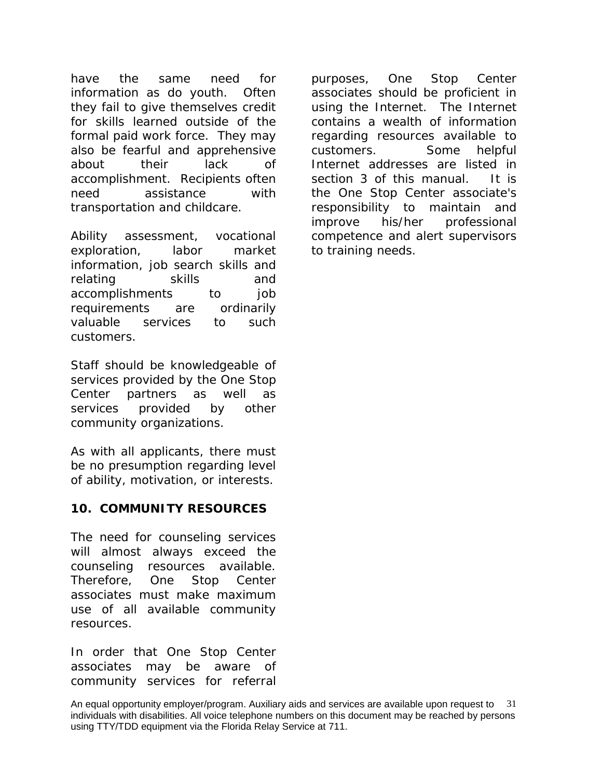have the same need for information as do youth. Often they fail to give themselves credit for skills learned outside of the formal paid work force. They may also be fearful and apprehensive about their lack of accomplishment. Recipients often need assistance with transportation and childcare.

Ability assessment, vocational exploration, labor market information, job search skills and relating skills and accomplishments to job requirements are ordinarily valuable services to such customers.

Staff should be knowledgeable of services provided by the One Stop Center partners as well as services provided by other community organizations.

As with all applicants, there must be no presumption regarding level of ability, motivation, or interests.

## **10. COMMUNITY RESOURCES**

The need for counseling services will almost always exceed the counseling resources available. Therefore, One Stop Center associates must make maximum use of all available community resources.

In order that One Stop Center associates may be aware of community services for referral

purposes, One Stop Center associates should be proficient in using the Internet. The Internet contains a wealth of information regarding resources available to customers. *Some helpful Internet addresses are listed in section 3 of this manual. It is* the One Stop Center associate's responsibility to maintain and improve his/her professional competence and alert supervisors to training needs.

An equal opportunity employer/program. Auxiliary aids and services are available upon request to 31 individuals with disabilities. All voice telephone numbers on this document may be reached by persons using TTY/TDD equipment via the Florida Relay Service at 711.